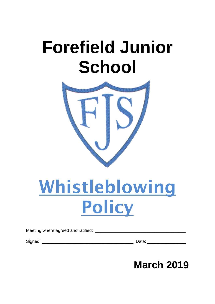# **Forefield Junior School**



# Whistleblowing Policy

Meeting where agreed and ratified: \_\_ \_\_\_\_\_\_\_\_\_\_\_\_\_\_\_\_\_\_\_\_\_

Signed: \_\_\_\_\_\_\_\_\_\_\_\_\_\_\_\_\_\_\_\_\_\_\_\_\_\_\_\_\_\_\_\_\_\_\_\_\_\_ Date: \_\_\_\_\_\_\_\_\_\_\_\_\_\_\_\_

# **March 2019**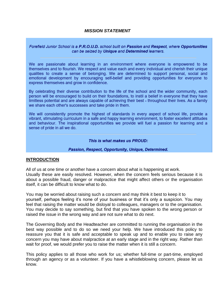#### *MISSION STATEMENT*

#### Forefield Junior School is a P.R.O.U.D. school built on Passion and Respect, where Opportunities can be seized by Unique and Determined learners.

We are passionate about learning in an environment where everyone is empowered to be themselves and to flourish. We respect and value each and every individual and cherish their unique qualities to create a sense of belonging. We are determined to support personal, social and emotional development by encouraging self-belief and providing opportunities for everyone to express themselves and grow in confidence.

By celebrating their diverse contribution to the life of the school and the wider community, each person will be encouraged to build on their foundations, to instil a belief in everyone that they have limitless potential and are always capable of achieving their best - throughout their lives. As a family we share each other's successes and take pride in them.

We will consistently promote the highest of standards in every aspect of school life, provide a vibrant, stimulating curriculum in a safe and happy learning environment, to foster excellent attitudes and behaviour. The inspirational opportunities we provide will fuel a passion for learning and a sense of pride in all we do.

#### This is what makes us PROUD:

#### Passion, Respect, Opportunity, Unique, Determined.

#### **INTRODUCTION**

All of us at one time or another have a concern about what is happening at work. Usually these are easily resolved. However, when the concern feels serious because it is about a possible fraud, danger or malpractice that might affect others or the organisation itself, it can be difficult to know what to do.

You may be worried about raising such a concern and may think it best to keep it to yourself, perhaps feeling it's none of your business or that it's only a suspicion. You may feel that raising the matter would be disloyal to colleagues, managers or to the organisation. You may decide to say something, but find that you have spoken to the wrong person or raised the issue in the wrong way and are not sure what to do next.

The Governing Body and the Headteacher are committed to running the organisation in the best way possible and to do so we need your help. We have introduced this policy to reassure you that it is safe and acceptable to speak up and to enable you to raise any concern you may have about malpractice at an early stage and in the right way. Rather than wait for proof, we would prefer you to raise the matter when it is still a concern.

This policy applies to all those who work for us; whether full-time or part-time, employed through an agency or as a volunteer. If you have a whistleblowing concern, please let us know.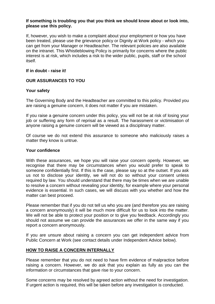#### **If something is troubling you that you think we should know about or look into, please use this policy.**

If, however, you wish to make a complaint about your employment or how you have been treated, please use the grievance policy or Dignity at Work policy - which you can get from your Manager or Headteacher. The relevant policies are also available on the intranet. This Whistleblowing Policy is primarily for concerns where the public interest is at risk, which includes a risk to the wider public, pupils, staff or the school itself.

### **If in doubt - raise it!**

# **OUR ASSURANCES TO YOU**

# **Your safety**

The Governing Body and the Headteacher are committed to this policy. Provided you are raising a genuine concern, it does not matter if you are mistaken.

If you raise a genuine concern under this policy, you will not be at risk of losing your job or suffering any form of reprisal as a result. The harassment or victimisation of anyone raising a genuine concern will be viewed as a disciplinary matter.

Of course we do not extend this assurance to someone who maliciously raises a matter they know is untrue.

#### **Your confidence**

With these assurances, we hope you will raise your concern openly. However, we recognise that there may be circumstances when you would prefer to speak to someone confidentially first. If this is the case, please say so at the outset. If you ask us not to disclose your identity, we will not do so without your consent unless required by law. You should understand that there may be times when we are unable to resolve a concern without revealing your identity, for example where your personal evidence is essential. In such cases, we will discuss with you whether and how the matter can best proceed.

Please remember that if you do not tell us who you are (and therefore you are raising a concern anonymously) it will be much more difficult for us to look into the matter. We will not be able to protect your position or to give you feedback. Accordingly you should not assume we can provide the assurances we offer in the same way if you report a concern anonymously.

If you are unsure about raising a concern you can get independent advice from Public Concern at Work (see contact details under Independent Advice below).

# **HOW TO RAISE A CONCERN INTERNALLY**

Please remember that you do not need to have firm evidence of malpractice before raising a concern. However, we do ask that you explain as fully as you can the information or circumstances that gave rise to your concern.

Some concerns may be resolved by agreed action without the need for investigation. If urgent action is required, this will be taken before any investigation is conducted.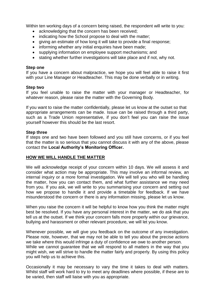Within ten working days of a concern being raised, the respondent will write to you:

- acknowledging that the concern has been received;
- indicating how the School propose to deal with the matter;
- giving an estimate of how long it will take to provide a final response;
- informing whether any initial enquiries have been made;
- supplying information on employee support mechanisms; and
- stating whether further investigations will take place and if not, why not.

#### **Step one**

If you have a concern about malpractice, we hope you will feel able to raise it first with your Line Manager or Headteacher. This may be done verbally or in writing.

#### **Step two**

If you feel unable to raise the matter with your manager or Headteacher, for whatever reason, please raise the matter with the Governing Body.

If you want to raise the matter confidentially, please let us know at the outset so that appropriate arrangements can be made. Issue can be raised through a third party, such as a Trade Union representative, if you don't feel you can raise the issue yourself however this should be the last resort.

#### **Step three**

If steps one and two have been followed and you still have concerns, or if you feel that the matter is so serious that you cannot discuss it with any of the above, please contact the **Local Authority's Monitoring Officer.**

#### **HOW WE WILL HANDLE THE MATTER**

We will acknowledge receipt of your concern within 10 days. We will assess it and consider what action may be appropriate. This may involve an informal review, an internal inquiry or a more formal investigation. We will tell you who will be handling the matter, how you can contact them, and what further assistance we may need from you. If you ask, we will write to you summarising your concern and setting out how we propose to handle it and provide a timetable for feedback. If we have misunderstood the concern or there is any information missing, please let us know.

When you raise the concern it will be helpful to know how you think the matter might best be resolved. If you have any personal interest in the matter, we do ask that you tell us at the outset. If we think your concern falls more properly within our grievance, bullying and harassment or other relevant procedure, we will let you know.

Whenever possible, we will give you feedback on the outcome of any investigation. Please note, however, that we may not be able to tell you about the precise actions we take where this would infringe a duty of confidence we owe to another person. While we cannot guarantee that we will respond to all matters in the way that you might wish, we will strive to handle the matter fairly and properly. By using this policy you will help us to achieve this.

Occasionally it may be necessary to vary the time it takes to deal with matters. Whilst staff will work hard to try to meet any deadlines where possible, if these are to be varied, then staff will liaise with you as appropriate.